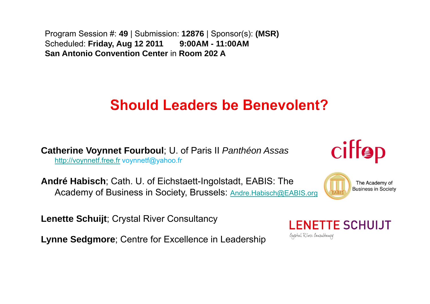Program Session #: **49** | Submission: **12876** | Sponsor(s): **(MSR)**  Scheduled: **Friday, Aug 12 2011 9:00AM - 11:00AM San Antonio Convention Center** in **Room 202 A**

### **Should Leaders be Benevolent?**

**Catherine Voynnet Fourboul**; U. of Paris II *Panthéon Assas*  http://voynnetf.free.fr voynnetf@yahoo.fr

**André Habisch**; Cath. U. of Eichstaett-Ingolstadt, EABIS: The Academy of Business in Society, Brussels: Andre.Habisch@EABIS.org

**Lenette Schuijt**; Crystal River Consultancy

**Lynne Sedgmore**; Centre for Excellence in Leadership





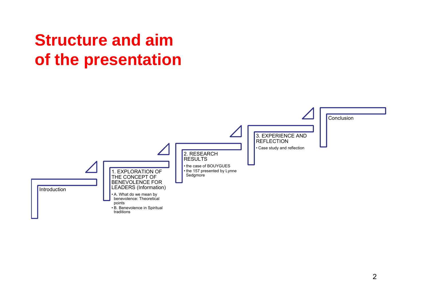## **Structure and aim of the presentation**

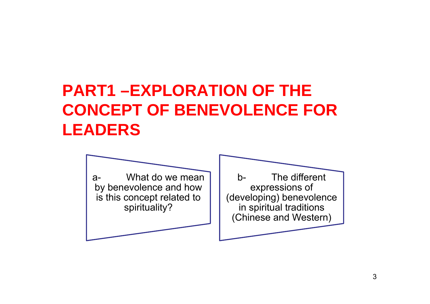## **PART1 –EXPLORATION OF THE CONCEPT OF BENEVOLENCE FOR LEADERS**

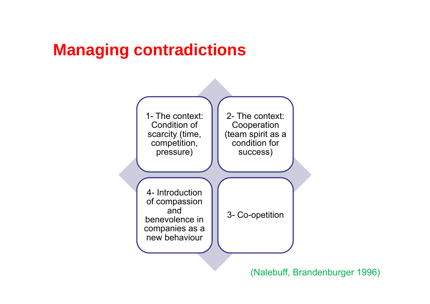## **Managing contradictions**



(Nalebuff, Brandenburger 1996)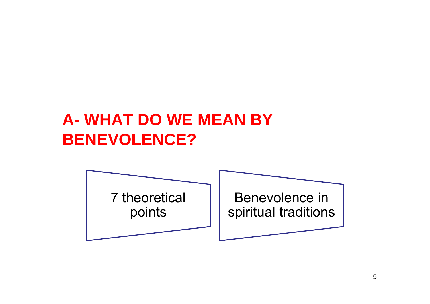## **A- WHAT DO WE MEAN BY BENEVOLENCE?**

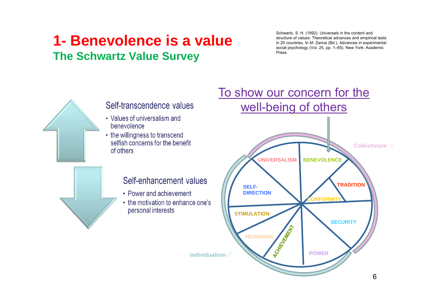### **1- Benevolence is a valueThe Schwartz Value Survey**

Schwartz, S. H. (1992). Universals in the content and structure of values: Theoretical advances and empirical tests in 20 countries. In M. Zanna (Bd.), Advances in experimental social psychology (Vol. 25, pp. 1–65). New York: Academic **Press** 



#### Self-transcendence values

- Values of universalism and benevolence
- the willingness to transcend selfish concerns for the benefit of others

#### Self-enhancement values

- Power and achievement
- the motivation to enhance one's personal interests

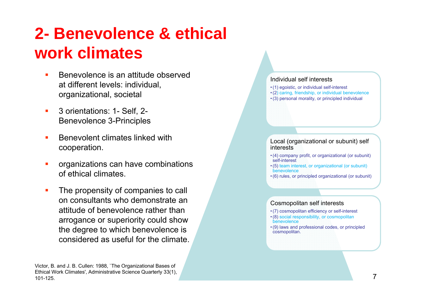## **2- Benevolence & ethical work climates**

- Benevolence is an attitude observed at different levels: individual, organizational, societal
- П 3 orientations: 1- Self, 2- Benevolence 3-Principles
- Benevolent climates linked with cooperation.
- organizations can have combinations of ethical climates.
- The propensity of companies to call on consultants who demonstrate an attitude of benevolence rather than arrogance or superiority could show the degree to which benevolence is considered as useful for the climate.



- (1) egoistic, or individual self-interest
- (2) caring, friendship, or individual benevolence
- (3) personal morality, or principled individual

Local (organizational or subunit) self interests

- (4) company profit, or organizational (or subunit) self-interest
- (5) team interest, or organizational (or subunit) benevolence
- (6) rules, or principled organizational (or subunit)

#### Cosmopolitan self interests

- (7) cosmopolitan efficiency or self-interest
- (8) social responsibility, or cosmopolitan benevolence
- (9) laws and professional codes, or principled cosmopolitan.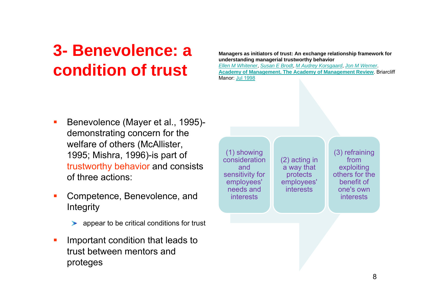## **3- Benevolence: a condition of trust**

**Managers as initiators of trust: An exchange relationship framework for understanding managerial trustworthy behavior**

*Ellen M Whitener*, *Susan E Brodt*, *M Audrey Korsgaard*, *Jon M Werner*. **Academy of Management. The Academy of Management Review**. Briarcliff Manor: Jul 1998

- п Benevolence (Mayer et al., 1995) demonstrating concern for the welfare of others (McAllister, 1995; Mishra, 1996)-is part of trustworthy behavior and consists of three actions:
- $\mathcal{L}_{\mathcal{A}}$  Competence, Benevolence, and **Integrity** 
	- appear to be critical conditions for trust
- $\overline{\phantom{a}}$  Important condition that leads to trust between mentors and proteges

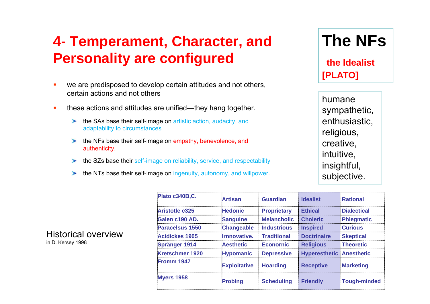### **4- Temperament, Character, and Personality are configured**

- $\blacksquare$  we are predisposed to develop certain attitudes and not others, certain actions and not others
- $\mathbf{r}$  these actions and attitudes are unified—they hang together.
	- the SAs base their self-image on artistic action, audacity, and adaptability to circumstances
	- the NFs base their self-image on empathy, benevolence, and  $\rightarrow$ authenticity,
	- the SZs base their self-image on reliability, service, and respectability ➤
	- the NTs base their self-image on ingenuity, autonomy, and willpower.  $\blacktriangleright$

| <b>The NFs</b> |  |
|----------------|--|
|----------------|--|

**the Idealist [PLATO]**

humane sympathetic, enthusiastic, religious, creative, intuitive, insightful, subjective.

|                        | тноан               | чиа чин            | по е и при                      | nauviai            |
|------------------------|---------------------|--------------------|---------------------------------|--------------------|
| Aristotle c325         | <b>Hedonic</b>      | <b>Proprietary</b> | <b>Ethical</b>                  | <b>Dialectical</b> |
| Galen c190 AD.         | <b>Sanguine</b>     | <b>Melancholic</b> | <b>Choleric</b>                 | Phlegmatic         |
| Paracelsus 1550        | <b>Changeable</b>   | <b>Industrious</b> | <b>Inspired</b>                 | <b>Curious</b>     |
| <b>Acidickes 1905</b>  | Irnnovative.        | <b>Traditional</b> | <b>Doctrinaire</b>              | <b>Skeptical</b>   |
| <b>Spränger 1914</b>   | <b>Aesthetic</b>    | <b>Econornic</b>   | <b>Religious</b>                | <b>Theoretic</b>   |
| <b>Kretschmer 1920</b> | <b>Hypomanic</b>    | <b>Depressive</b>  | <b>Hyperesthetic Anesthetic</b> |                    |
| Fromm 1947             | <b>Exploitative</b> | <b>Hoarding</b>    | <b>Receptive</b>                | <b>Marketing</b>   |
| <b>Myers 1958</b>      | <b>Probing</b>      | <b>Scheduling</b>  | <b>Friendly</b>                 | Tough-minded       |
|                        |                     |                    |                                 |                    |

**Plato c340B,C. Artisan Guardian Idealist Rational**

Historical overviewin D. Kersey 1998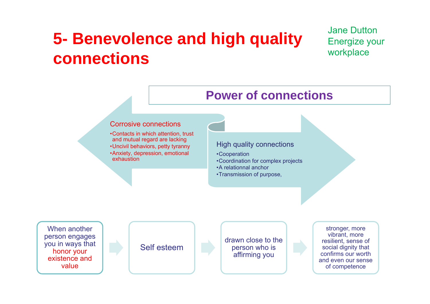## **5- Benevolence and high quality connections**

Jane Dutton Energize your workplace

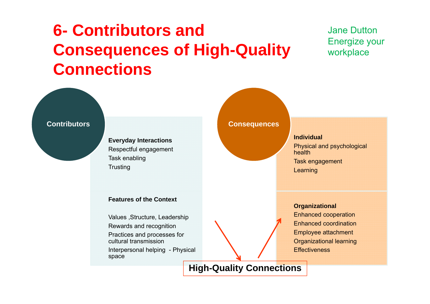## **6- Contributors and Consequences of High-Quality Connections**

#### Jane Dutton Energize your workplace

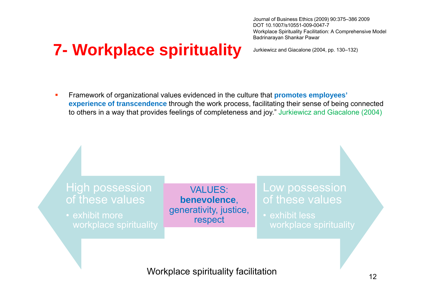## **7- Workplace spirituality**

Journal of Business Ethics (2009) 90:375–386 2009 DOT 10.1007/s10551-009-0047-7Workplace Spirituality Facilitation: A Comprehensive Model Badrinarayan Shankar Pawar

Jurkiewicz and Giacalone (2004, pp. 130–132)

× Framework of organizational values evidenced in the culture that **promotes employees' experience of transcendence** through the work process, facilitating their sense of being connected to others in a way that provides feelings of completeness and joy." Jurkiewicz and Giacalone (2004)

#### High possession of these values

• exhibit more

VALUES: **benevolence**, generativity, justice, respect

#### Low possession of these values

• exhibit less

Workplace spirituality facilitation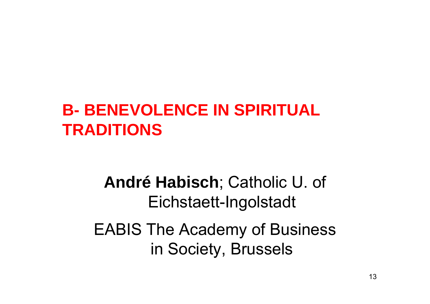## **B- BENEVOLENCE IN SPIRITUAL TRADITIONS**

## **André Habisch**; Catholic U. of Eichstaett-Ingolstadt

## EABIS The Academy of Business in Society, Brussels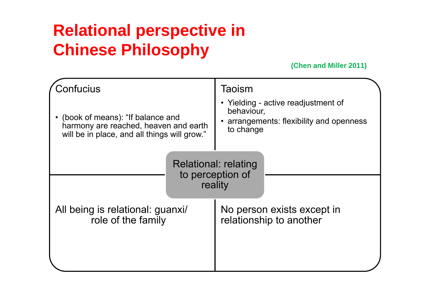## **Relational perspective in Chinese Philosophy**

**(Chen and Miller 2011)**

| Confucius<br>(book of means): "If balance and<br>harmony are reached, heaven and earth<br>will be in place, and all things will grow." | Taoism<br>• Yielding - active readjustment of<br>behaviour,<br>arrangements: flexibility and openness<br>to change |  |  |
|----------------------------------------------------------------------------------------------------------------------------------------|--------------------------------------------------------------------------------------------------------------------|--|--|
| <b>Relational: relating</b><br>to perception of<br>reality                                                                             |                                                                                                                    |  |  |
| All being is relational: guanxi/<br>role of the family                                                                                 | No person exists except in<br>relationship to another                                                              |  |  |
|                                                                                                                                        |                                                                                                                    |  |  |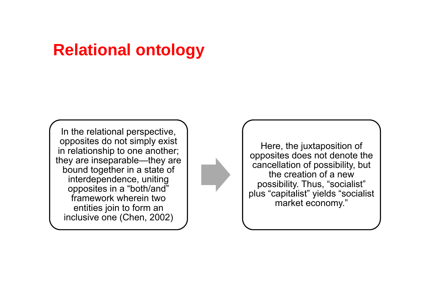### **Relational ontology**

In the relational perspective, opposites do not simply exist in relationship to one another; they are inseparable—they are bound together in a state of interdependence, uniting opposites in a "both/and" framework wherein two entities join to form an inclusive one (Chen, 2002)



Here, the juxtaposition of opposites does not denote the cancellation of possibility, but the creation of a new possibility. Thus, "socialist" plus "capitalist" yields "socialist market economy."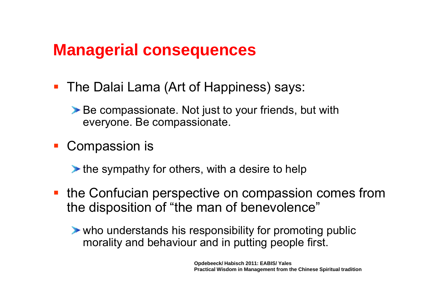### **Managerial consequences**

- The Dalai Lama (Art of Happiness) says:
	- ▶ Be compassionate. Not just to your friends, but with everyone. Be compassionate.
- an<br>Ma Compassion is
	- $\blacktriangleright$  the sympathy for others, with a desire to help
- **the Confucian perspective on compassion comes from** the disposition of "the man of benevolence"
	- who understands his responsibility for promoting public morality and behaviour and in putting people first.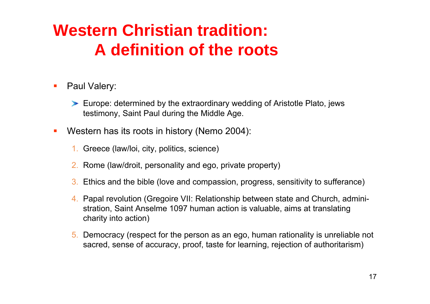## **Western Christian tradition: A definition of the roots**

- $\mathcal{L}_{\mathcal{A}}$  Paul Valery:
	- Europe: determined by the extraordinary wedding of Aristotle Plato, jews testimony, Saint Paul during the Middle Age.
- $\mathcal{L}_{\mathcal{A}}$  Western has its roots in history (Nemo 2004):
	- 1. Greece (law/loi, city, politics, science)
	- 2. Rome (law/droit, personality and ego, private property)
	- 3. Ethics and the bible (love and compassion, progress, sensitivity to sufferance)
	- 4. Papal revolution (Gregoire VII: Relationship between state and Church, administration, Saint Anselme 1097 human action is valuable, aims at translating charity into action)
	- 5. Democracy (respect for the person as an ego, human rationality is unreliable not sacred, sense of accuracy, proof, taste for learning, rejection of authoritarism)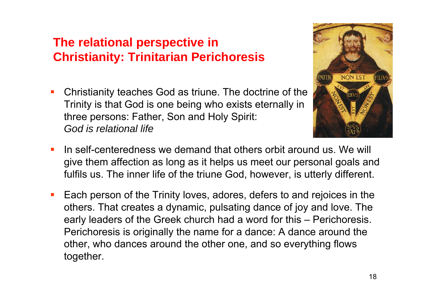#### **The relational perspective in Christianity: Trinitarian Perichoresis**

Ξ Christianity teaches God as triune. The doctrine of the Trinity is that God is one being who exists eternally in three persons: Father, Son and Holy Spirit: *God is relational life*



- Ξ In self-centeredness we demand that others orbit around us. We will give them affection as long as it helps us meet our personal goals and fulfils us. The inner life of the triune God, however, is utterly different.
- Ξ Each person of the Trinity loves, adores, defers to and rejoices in the others. That creates a dynamic, pulsating dance of joy and love. The early leaders of the Greek church had a word for this – Perichoresis. Perichoresis is originally the name for a dance: A dance around the other, who dances around the other one, and so everything flows together.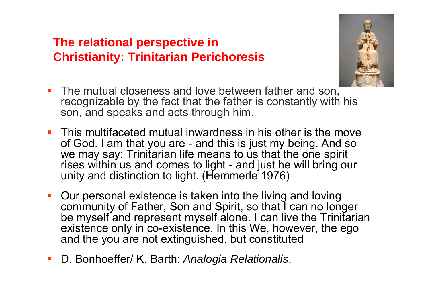#### **The relational perspective in Christianity: Trinitarian Perichoresis**



- $\blacksquare$  The mutual closeness and love between father and son, recognizable by the fact that the father is constantly with his son, and speaks and acts through him.
- **This multifaceted mutual inwardness in his other is the move** of God. I am that you are - and this is just my being. And so we may say: Trinitarian life means to us that the one spirit rises within us and comes to light - and just he will bring our unity and distinction to light. (Hemmerle 1976)
- $\mathcal{L}_{\mathcal{A}}$  Our personal existence is taken into the living and loving community of Father, Son and Spirit, so that I can no longer be myself and represent myself alone. I can live the Trinitarian existence only in co-existence. In this We, however, the ego and the you are not extinguished, but constituted
- $\overline{\mathbb{R}}$ D. Bonhoeffer/ K. Barth: *Analogia Relationalis*.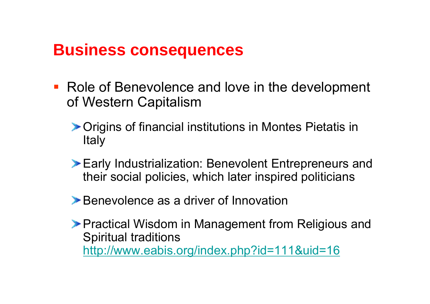### **Business consequences**

- Role of Benevolence and love in the development of Western Capitalism
	- Origins of financial institutions in Montes Pietatis in Italy
	- Early Industrialization: Benevolent Entrepreneurs and their social policies, which later inspired politicians
	- **Benevolence as a driver of Innovation**
	- **Practical Wisdom in Management from Religious and** Spiritual traditions http://www.eabis.org/index.php?id=111&uid=16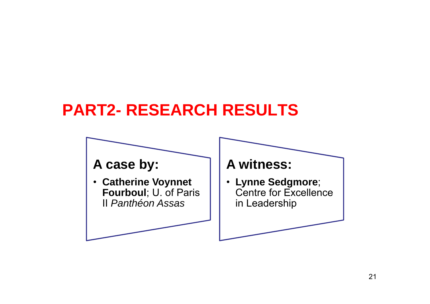## **PART2- RESEARCH RESULTS**

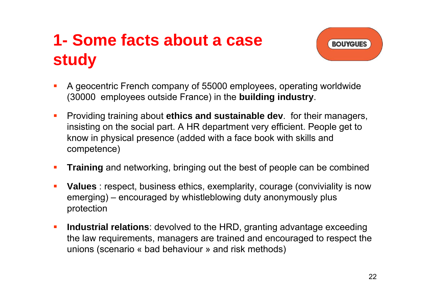## **1- Some facts about a case study**



- $\mathcal{L}_{\mathcal{A}}$  A geocentric French company of 55000 employees, operating worldwide (30000 employees outside France) in the **building industry**.
- $\mathcal{L}_{\mathcal{A}}$  Providing training about **ethics and sustainable dev**. for their managers, insisting on the social part. A HR department very efficient. People get to know in physical presence (added with a face book with skills and competence)
- $\blacksquare$ **Training** and networking, bringing out the best of people can be combined
- $\mathcal{L}_{\mathcal{A}}$  **Values** : respect, business ethics, exemplarity, courage (conviviality is now emerging) – encouraged by whistleblowing duty anonymously plus protection
- $\mathcal{L}_{\mathcal{A}}$  **Industrial relations**: devolved to the HRD, granting advantage exceeding the law requirements, managers are trained and encouraged to respect the unions (scenario « bad behaviour » and risk methods)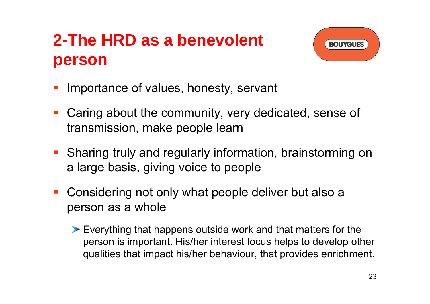## **2-The HRD as a benevolent person**



- T. Importance of values, honesty, servant
- T. Caring about the community, very dedicated, sense of transmission, make people learn
- **Sharing truly and regularly information, brainstorming on** a large basis, giving voice to people
- $\mathcal{L}_{\mathcal{A}}$  Considering not only what people deliver but also a person as a whole
	- Everything that happens outside work and that matters for the person is important. His/her interest focus helps to develop other qualities that impact his/her behaviour, that provides enrichment.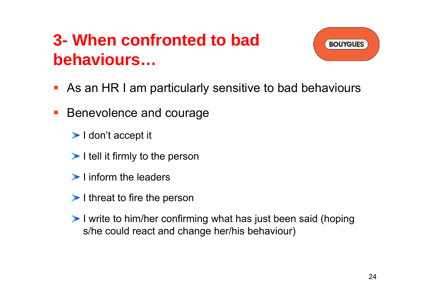## **3- When confronted to bad behaviours…**



- **As an HR I am particularly sensitive to bad behaviours**
- $\mathcal{L}_{\mathcal{A}}$  Benevolence and courage
	- $\blacktriangleright$  I don't accept it
	- $\blacktriangleright$  I tell it firmly to the person
	- $\blacktriangleright$  linform the leaders
	- $\blacktriangleright$  I threat to fire the person
	- I write to him/her confirming what has just been said (hoping s/he could react and change her/his behaviour)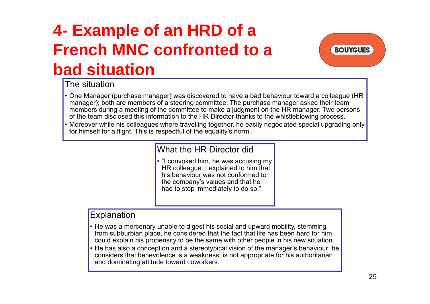## **4- Example of an HRD of a French MNC confronted to a bad situation**

**BOUYGUES** 

#### The situation

- One Manager (purchase manager) was discovered to have a bad behaviour toward a colleague (HR manager); both are members of a steering committee. The purchase manager asked their team members during a meeting of the committee to make a judgment on the HR manager. Two persons of the team disclosed this information to the HR Director thanks to the whistleblowing process.
- Moreover while his colleagues where travelling together, he easily negociated special upgrading only for himself for a flight. This is respectful of the equality's norm.

#### What the HR Director did

• "I convoked him, he was accusing my HR colleague. I explained to him that his behaviour was not conformed to the company's values and that he had to stop immediately to do so."

#### Explanation

- He was a mercenary unable to digest his social and upward mobility, stemming from subburbian place, he considered that the fact that life has been hard for him could explain his propensity to be the same with other people in his new situation.
- He has also a conception and a stereotypical vision of the manager's behaviour: he considers that benevolence is a weakness, is not appropriate for his authoritarian and dominating attitude toward coworkers.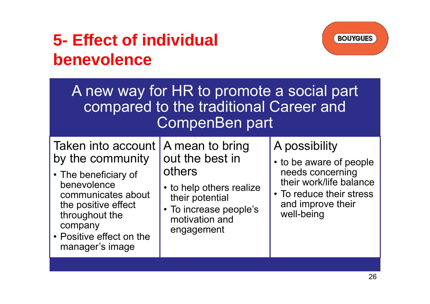## **5- Effect of individual benevolence**



| A new way for HR to promote a social part<br>compared to the traditional Career and<br>CompenBen part                                                                                                  |                                                                                                                                                       |                                                                                                                                                        |  |  |
|--------------------------------------------------------------------------------------------------------------------------------------------------------------------------------------------------------|-------------------------------------------------------------------------------------------------------------------------------------------------------|--------------------------------------------------------------------------------------------------------------------------------------------------------|--|--|
| Taken into account<br>by the community<br>• The beneficiary of<br>benevolence<br>communicates about<br>the positive effect<br>throughout the<br>company<br>• Positive effect on the<br>manager's image | A mean to bring<br>out the best in<br>others<br>• to help others realize<br>their potential<br>• To increase people's<br>motivation and<br>engagement | A possibility<br>• to be aware of people<br>needs concerning<br>their work/life balance<br>• To reduce their stress<br>and improve their<br>well-being |  |  |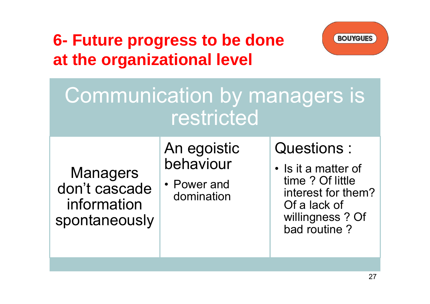## **6- Future progress to be done at the organizational level**



# Communication by managers is restricted

#### **Managers** don't cascade information spontaneously

### An egoistic behaviour

• Power and domination

### Questions :

• Is it a matter of time ? Of little interest for them? Of a lack of willingness ? Of bad routine ?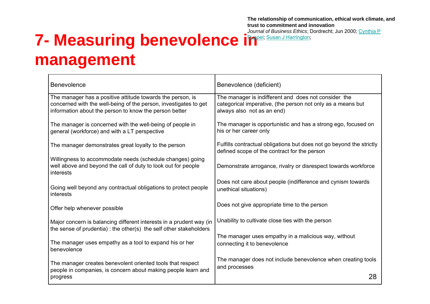**The relationship of communication, ethical work climate, and trust to commitment and innovation**

*Journal of Business Ethics*; Dordrecht; Jun 2000; Cynthia P

## **7- Measuring benevolence in Benerich Susan J Harrington; management**

| <b>Benevolence</b>                                                                                                                                                                       | Benevolence (deficient)                                                                                                                           |
|------------------------------------------------------------------------------------------------------------------------------------------------------------------------------------------|---------------------------------------------------------------------------------------------------------------------------------------------------|
| The manager has a positive attitude towards the person, is<br>concerned with the well-being of the person, investigates to get<br>information about the person to know the person better | The manager is indifferent and does not consider the<br>categorical imperative, (the person not only as a means but<br>always also not as an end) |
| The manager is concerned with the well-being of people in<br>general (workforce) and with a LT perspective                                                                               | The manager is opportunistic and has a strong ego, focused on<br>his or her career only                                                           |
| The manager demonstrates great loyalty to the person                                                                                                                                     | Fulfills contractual obligations but does not go beyond the strictly<br>defined scope of the contract for the person                              |
| Willingness to accommodate needs (schedule changes) going<br>well above and beyond the call of duty to look out for people<br>interests                                                  | Demonstrate arrogance, rivalry or disrespect towards workforce                                                                                    |
| Going well beyond any contractual obligations to protect people<br>interests                                                                                                             | Does not care about people (indifference and cynism towards<br>unethical situations)                                                              |
| Offer help whenever possible                                                                                                                                                             | Does not give appropriate time to the person                                                                                                      |
| Major concern is balancing different interests in a prudent way (in<br>the sense of prudentia) : the other(s) the self other stakeholders                                                | Unability to cultivate close ties with the person                                                                                                 |
| The manager uses empathy as a tool to expand his or her<br>benevolence                                                                                                                   | The manager uses empathy in a malicious way, without<br>connecting it to benevolence                                                              |
| The manager creates benevolent oriented tools that respect<br>people in companies, is concern about making people learn and                                                              | The manager does not include benevolence when creating tools<br>and processes                                                                     |
| progress                                                                                                                                                                                 | 28                                                                                                                                                |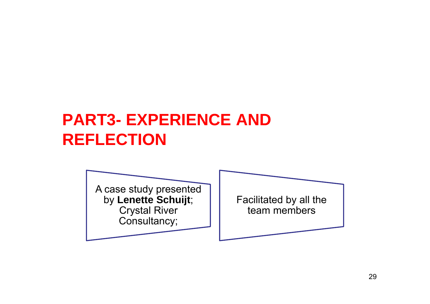## **PART3- EXPERIENCE AND REFLECTION**

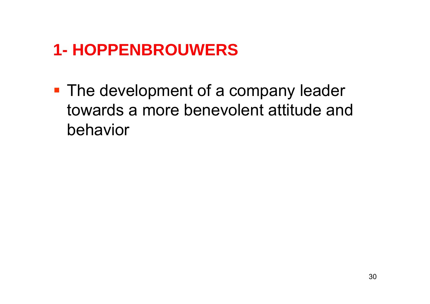## **1- HOPPENBROUWERS**

**The development of a company leader** towards a more benevolent attitude and behavior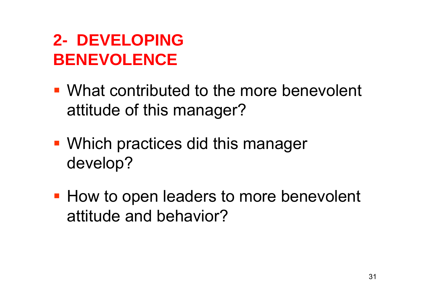## **2- DEVELOPING BENEVOLENCE**

- What contributed to the more benevolent attitude of this manager?
- Which practices did this manager develop?
- **How to open leaders to more benevolent** attitude and behavior?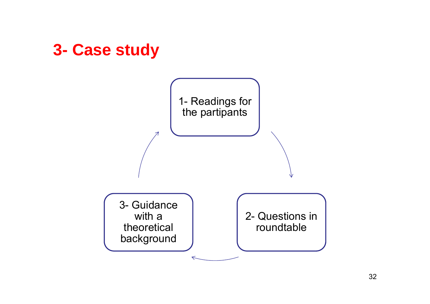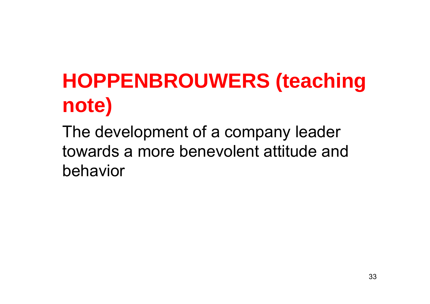# **HOPPENBROUWERS (teaching note)**

The development of a company leader towards a more benevolent attitude and behavior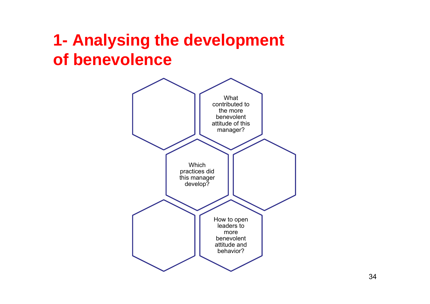## **1- Analysing the development of benevolence**

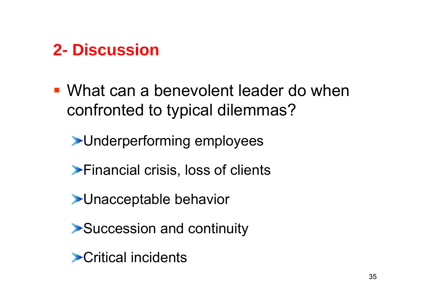## **2- Discussion**

 What can a benevolent leader do when confronted to typical dilemmas?

**Example represents** employees

**Financial crisis, loss of clients** 

**EUnacceptable behavior** 

▶ Succession and continuity

Critical incidents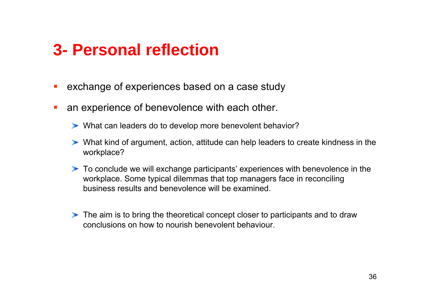### **3- Personal reflection**

- $\mathcal{L}_{\mathcal{A}}$ exchange of experiences based on a case study
- $\Box$  an experience of benevolence with each other.
	- What can leaders do to develop more benevolent behavior?
	- What kind of argument, action, attitude can help leaders to create kindness in the workplace?
	- To conclude we will exchange participants' experiences with benevolence in the workplace. Some typical dilemmas that top managers face in reconciling business results and benevolence will be examined.
	- The aim is to bring the theoretical concept closer to participants and to draw conclusions on how to nourish benevolent behaviour.